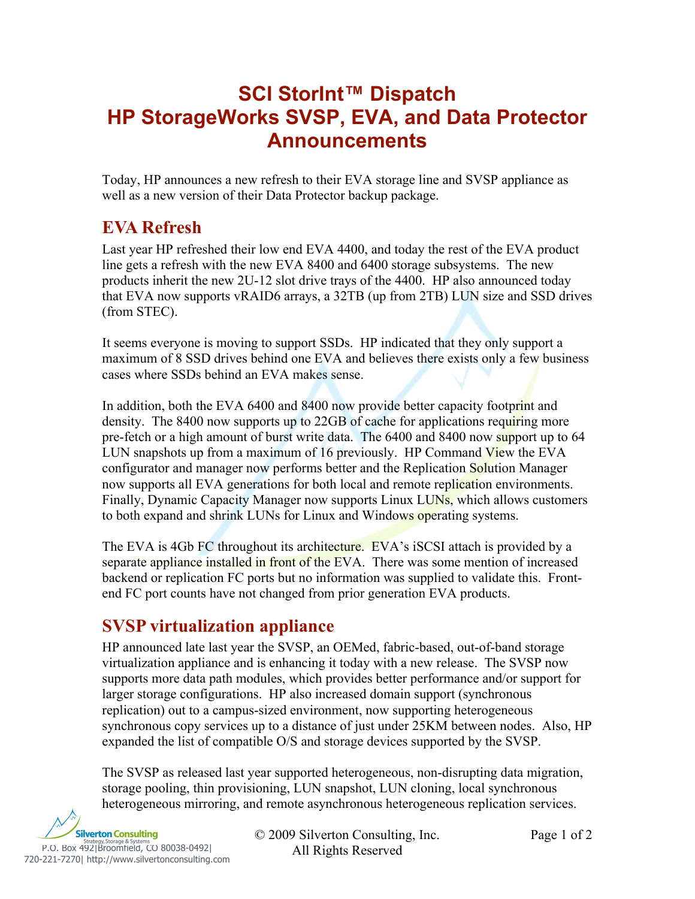# **SCI StorInt™ Dispatch HP StorageWorks SVSP, EVA, and Data Protector Announcements**

Today, HP announces a new refresh to their EVA storage line and SVSP appliance as well as a new version of their Data Protector backup package.

### **EVA Refresh**

Last year HP refreshed their low end EVA 4400, and today the rest of the EVA product line gets a refresh with the new EVA 8400 and 6400 storage subsystems. The new products inherit the new 2U-12 slot drive trays of the 4400. HP also announced today that EVA now supports vRAID6 arrays, a 32TB (up from 2TB) LUN size and SSD drives (from STEC).

It seems everyone is moving to support SSDs. HP indicated that they only support a maximum of 8 SSD drives behind one EVA and believes there exists only a few business cases where SSDs behind an EVA makes sense.

In addition, both the EVA 6400 and 8400 now provide better capacity footprint and density. The 8400 now supports up to 22GB of cache for applications requiring more pre-fetch or a high amount of burst write data. The 6400 and 8400 now support up to 64 LUN snapshots up from a maximum of 16 previously. HP Command View the EVA configurator and manager now performs better and the Replication Solution Manager now supports all EVA generations for both local and remote replication environments. Finally, Dynamic Capacity Manager now supports Linux LUNs, which allows customers to both expand and shrink LUNs for Linux and Windows operating systems.

The EVA is 4Gb FC throughout its architecture. EVA's iSCSI attach is provided by a separate appliance installed in front of the EVA. There was some mention of increased backend or replication FC ports but no information was supplied to validate this. Frontend FC port counts have not changed from prior generation EVA products.

## **SVSP virtualization appliance**

HP announced late last year the SVSP, an OEMed, fabric-based, out-of-band storage virtualization appliance and is enhancing it today with a new release. The SVSP now supports more data path modules, which provides better performance and/or support for larger storage configurations. HP also increased domain support (synchronous replication) out to a campus-sized environment, now supporting heterogeneous synchronous copy services up to a distance of just under 25KM between nodes. Also, HP expanded the list of compatible O/S and storage devices supported by the SVSP.

The SVSP as released last year supported heterogeneous, non-disrupting data migration, storage pooling, thin provisioning, LUN snapshot, LUN cloning, local synchronous heterogeneous mirroring, and remote asynchronous heterogeneous replication services.



© 2009 Silverton Consulting, Inc. Page 1 of 2